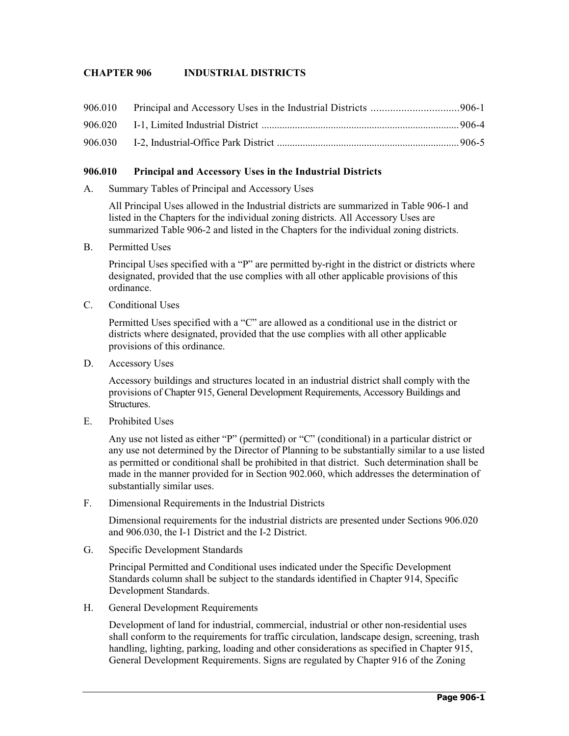## **CHAPTER 906 INDUSTRIAL DISTRICTS**

#### **906.010 Principal and Accessory Uses in the Industrial Districts**

A. Summary Tables of Principal and Accessory Uses

All Principal Uses allowed in the Industrial districts are summarized in Table 906-1 and listed in the Chapters for the individual zoning districts. All Accessory Uses are summarized Table 906-2 and listed in the Chapters for the individual zoning districts.

B. Permitted Uses

Principal Uses specified with a "P" are permitted by-right in the district or districts where designated, provided that the use complies with all other applicable provisions of this ordinance.

C. Conditional Uses

Permitted Uses specified with a "C" are allowed as a conditional use in the district or districts where designated, provided that the use complies with all other applicable provisions of this ordinance.

D. Accessory Uses

Accessory buildings and structures located in an industrial district shall comply with the provisions of Chapter 915, General Development Requirements, Accessory Buildings and Structures.

E. Prohibited Uses

Any use not listed as either "P" (permitted) or "C" (conditional) in a particular district or any use not determined by the Director of Planning to be substantially similar to a use listed as permitted or conditional shall be prohibited in that district. Such determination shall be made in the manner provided for in Section 902.060, which addresses the determination of substantially similar uses.

F. Dimensional Requirements in the Industrial Districts

Dimensional requirements for the industrial districts are presented under Sections 906.020 and 906.030, the I-1 District and the I-2 District.

G. Specific Development Standards

Principal Permitted and Conditional uses indicated under the Specific Development Standards column shall be subject to the standards identified in Chapter 914, Specific Development Standards.

H. General Development Requirements

Development of land for industrial, commercial, industrial or other non-residential uses shall conform to the requirements for traffic circulation, landscape design, screening, trash handling, lighting, parking, loading and other considerations as specified in Chapter 915, General Development Requirements. Signs are regulated by Chapter 916 of the Zoning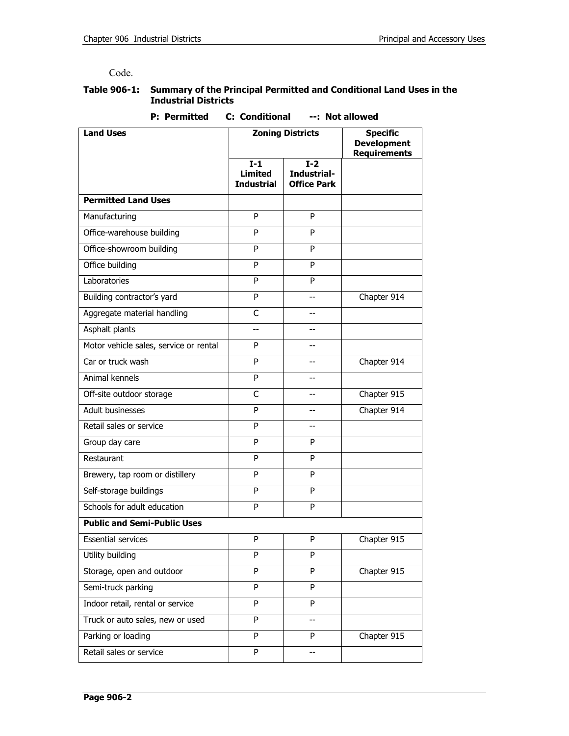Code.

#### **Table 906-1: Summary of the Principal Permitted and Conditional Land Uses in the Industrial Districts**

| <b>C: Conditional</b><br><b>P:</b> Permitted<br>--: Not allowed |                                              |                                            |                                                              |  |  |  |
|-----------------------------------------------------------------|----------------------------------------------|--------------------------------------------|--------------------------------------------------------------|--|--|--|
| <b>Land Uses</b>                                                | <b>Zoning Districts</b>                      |                                            | <b>Specific</b><br><b>Development</b><br><b>Requirements</b> |  |  |  |
|                                                                 | $I-1$<br><b>Limited</b><br><b>Industrial</b> | $I-2$<br>Industrial-<br><b>Office Park</b> |                                                              |  |  |  |
| <b>Permitted Land Uses</b>                                      |                                              |                                            |                                                              |  |  |  |
| Manufacturing                                                   | P                                            | P                                          |                                                              |  |  |  |
| Office-warehouse building                                       | P                                            | P                                          |                                                              |  |  |  |
| Office-showroom building                                        | P                                            | P                                          |                                                              |  |  |  |
| Office building                                                 | P                                            | P                                          |                                                              |  |  |  |
| Laboratories                                                    | P                                            | P                                          |                                                              |  |  |  |
| Building contractor's yard                                      | P                                            | $-$                                        | Chapter 914                                                  |  |  |  |
| Aggregate material handling                                     | C                                            | $-$                                        |                                                              |  |  |  |
| Asphalt plants                                                  | --                                           | --                                         |                                                              |  |  |  |
| Motor vehicle sales, service or rental                          | P                                            | $-$                                        |                                                              |  |  |  |
| Car or truck wash                                               | P                                            | --                                         | Chapter 914                                                  |  |  |  |
| Animal kennels                                                  | P                                            | --                                         |                                                              |  |  |  |
| Off-site outdoor storage                                        | C                                            | $\overline{a}$                             | Chapter 915                                                  |  |  |  |
| Adult businesses                                                | P                                            | --                                         | Chapter 914                                                  |  |  |  |
| Retail sales or service                                         | P                                            | $-$                                        |                                                              |  |  |  |
| Group day care                                                  | P                                            | P                                          |                                                              |  |  |  |
| Restaurant                                                      | P                                            | P                                          |                                                              |  |  |  |
| Brewery, tap room or distillery                                 | P                                            | P                                          |                                                              |  |  |  |
| Self-storage buildings                                          | P                                            | P                                          |                                                              |  |  |  |
| Schools for adult education                                     | P                                            | P                                          |                                                              |  |  |  |
| <b>Public and Semi-Public Uses</b>                              |                                              |                                            |                                                              |  |  |  |
| <b>Essential services</b>                                       | P                                            | P                                          | Chapter 915                                                  |  |  |  |
| Utility building                                                | P                                            | P                                          |                                                              |  |  |  |
| Storage, open and outdoor                                       | P                                            | P                                          | Chapter 915                                                  |  |  |  |
| Semi-truck parking                                              | P                                            | P                                          |                                                              |  |  |  |
| Indoor retail, rental or service                                | P                                            | P                                          |                                                              |  |  |  |
| Truck or auto sales, new or used                                | P                                            | $-$                                        |                                                              |  |  |  |
| Parking or loading                                              | P                                            | P                                          | Chapter 915                                                  |  |  |  |
| Retail sales or service                                         | P                                            |                                            |                                                              |  |  |  |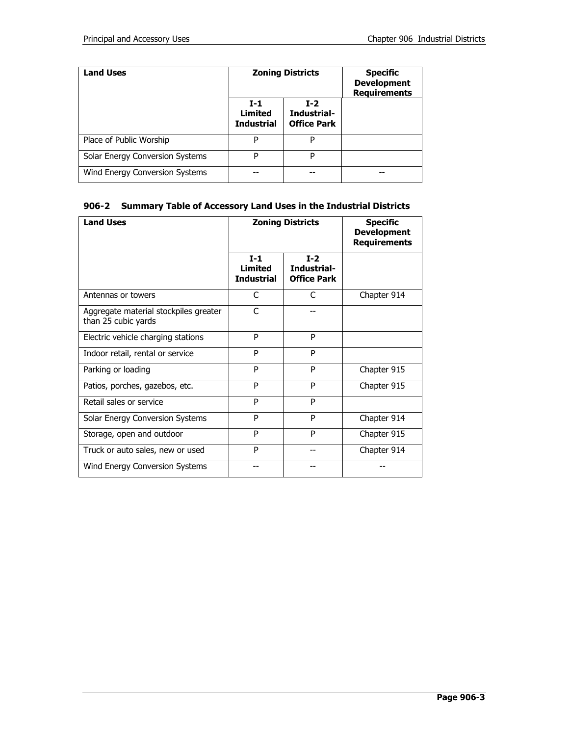| <b>Land Uses</b>                       |                                              | <b>Zoning Districts</b>                    | <b>Specific</b><br><b>Development</b><br><b>Requirements</b> |  |
|----------------------------------------|----------------------------------------------|--------------------------------------------|--------------------------------------------------------------|--|
|                                        | $I-1$<br><b>Limited</b><br><b>Industrial</b> | $T-2$<br>Industrial-<br><b>Office Park</b> |                                                              |  |
| Place of Public Worship                | P                                            | P                                          |                                                              |  |
| <b>Solar Energy Conversion Systems</b> | P                                            | P                                          |                                                              |  |
| Wind Energy Conversion Systems         | --                                           |                                            |                                                              |  |

# **906-2 Summary Table of Accessory Land Uses in the Industrial Districts**

| <b>Land Uses</b>                                             |                                       | <b>Zoning Districts</b>                    | <b>Specific</b><br><b>Development</b><br><b>Requirements</b> |  |
|--------------------------------------------------------------|---------------------------------------|--------------------------------------------|--------------------------------------------------------------|--|
|                                                              | $I-1$<br>Limited<br><b>Industrial</b> | $I-2$<br>Industrial-<br><b>Office Park</b> |                                                              |  |
| Antennas or towers                                           | C                                     | $\subset$                                  | Chapter 914                                                  |  |
| Aggregate material stockpiles greater<br>than 25 cubic yards | C                                     |                                            |                                                              |  |
| Electric vehicle charging stations                           | P                                     | P                                          |                                                              |  |
| Indoor retail, rental or service                             | P                                     | P                                          |                                                              |  |
| Parking or loading                                           | P                                     | P                                          | Chapter 915                                                  |  |
| Patios, porches, gazebos, etc.                               | P                                     | P                                          | Chapter 915                                                  |  |
| Retail sales or service                                      | P                                     | P                                          |                                                              |  |
| Solar Energy Conversion Systems                              | P                                     | P                                          | Chapter 914                                                  |  |
| Storage, open and outdoor                                    | P                                     | P                                          | Chapter 915                                                  |  |
| Truck or auto sales, new or used                             | P                                     |                                            | Chapter 914                                                  |  |
| Wind Energy Conversion Systems                               |                                       |                                            |                                                              |  |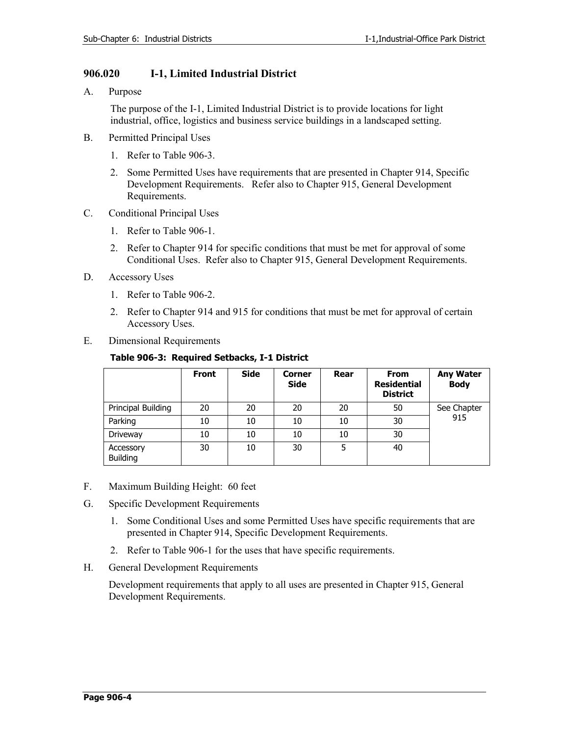# **906.020 I-1, Limited Industrial District**

A. Purpose

The purpose of the I-1, Limited Industrial District is to provide locations for light industrial, office, logistics and business service buildings in a landscaped setting.

- B. Permitted Principal Uses
	- 1. Refer to Table 906-3.
	- 2. Some Permitted Uses have requirements that are presented in Chapter 914, Specific Development Requirements. Refer also to Chapter 915, General Development Requirements.
- C. Conditional Principal Uses
	- 1. Refer to Table 906-1.
	- 2. Refer to Chapter 914 for specific conditions that must be met for approval of some Conditional Uses. Refer also to Chapter 915, General Development Requirements.
- D. Accessory Uses
	- 1. Refer to Table 906-2.
	- 2. Refer to Chapter 914 and 915 for conditions that must be met for approval of certain Accessory Uses.
- E. Dimensional Requirements

# **Table 906-3: Required Setbacks, I-1 District**

|                       | <b>Front</b> | <b>Side</b> | <b>Corner</b><br><b>Side</b> | Rear | <b>From</b><br><b>Residential</b><br><b>District</b> | <b>Any Water</b><br><b>Body</b> |
|-----------------------|--------------|-------------|------------------------------|------|------------------------------------------------------|---------------------------------|
| Principal Building    | 20           | 20          | 20                           | 20   | 50                                                   | See Chapter<br>915              |
| Parking               | 10           | 10          | 10                           | 10   | 30                                                   |                                 |
| Driveway              | 10           | 10          | 10                           | 10   | 30                                                   |                                 |
| Accessory<br>Building | 30           | 10          | 30                           | 5    | 40                                                   |                                 |

- F. Maximum Building Height: 60 feet
- G. Specific Development Requirements
	- 1. Some Conditional Uses and some Permitted Uses have specific requirements that are presented in Chapter 914, Specific Development Requirements.
	- 2. Refer to Table 906-1 for the uses that have specific requirements.
- H. General Development Requirements

Development requirements that apply to all uses are presented in Chapter 915, General Development Requirements.